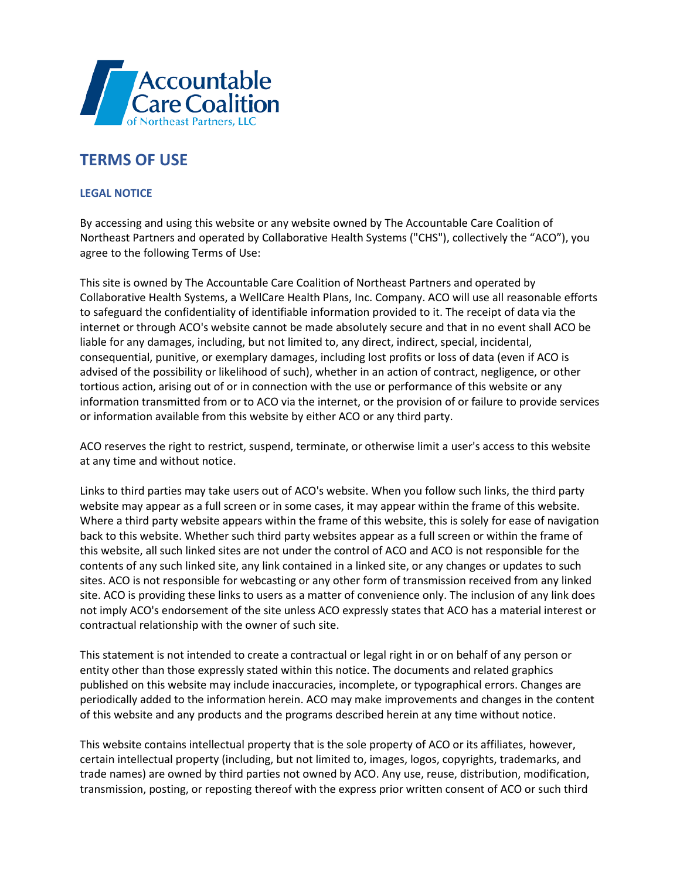

## **TERMS OF USE**

## **LEGAL NOTICE**

By accessing and using this website or any website owned by The Accountable Care Coalition of Northeast Partners and operated by Collaborative Health Systems ("CHS"), collectively the "ACO"), you agree to the following Terms of Use:

This site is owned by The Accountable Care Coalition of Northeast Partners and operated by Collaborative Health Systems, a WellCare Health Plans, Inc. Company. ACO will use all reasonable efforts to safeguard the confidentiality of identifiable information provided to it. The receipt of data via the internet or through ACO's website cannot be made absolutely secure and that in no event shall ACO be liable for any damages, including, but not limited to, any direct, indirect, special, incidental, consequential, punitive, or exemplary damages, including lost profits or loss of data (even if ACO is advised of the possibility or likelihood of such), whether in an action of contract, negligence, or other tortious action, arising out of or in connection with the use or performance of this website or any information transmitted from or to ACO via the internet, or the provision of or failure to provide services or information available from this website by either ACO or any third party.

ACO reserves the right to restrict, suspend, terminate, or otherwise limit a user's access to this website at any time and without notice.

Links to third parties may take users out of ACO's website. When you follow such links, the third party website may appear as a full screen or in some cases, it may appear within the frame of this website. Where a third party website appears within the frame of this website, this is solely for ease of navigation back to this website. Whether such third party websites appear as a full screen or within the frame of this website, all such linked sites are not under the control of ACO and ACO is not responsible for the contents of any such linked site, any link contained in a linked site, or any changes or updates to such sites. ACO is not responsible for webcasting or any other form of transmission received from any linked site. ACO is providing these links to users as a matter of convenience only. The inclusion of any link does not imply ACO's endorsement of the site unless ACO expressly states that ACO has a material interest or contractual relationship with the owner of such site.

This statement is not intended to create a contractual or legal right in or on behalf of any person or entity other than those expressly stated within this notice. The documents and related graphics published on this website may include inaccuracies, incomplete, or typographical errors. Changes are periodically added to the information herein. ACO may make improvements and changes in the content of this website and any products and the programs described herein at any time without notice.

This website contains intellectual property that is the sole property of ACO or its affiliates, however, certain intellectual property (including, but not limited to, images, logos, copyrights, trademarks, and trade names) are owned by third parties not owned by ACO. Any use, reuse, distribution, modification, transmission, posting, or reposting thereof with the express prior written consent of ACO or such third